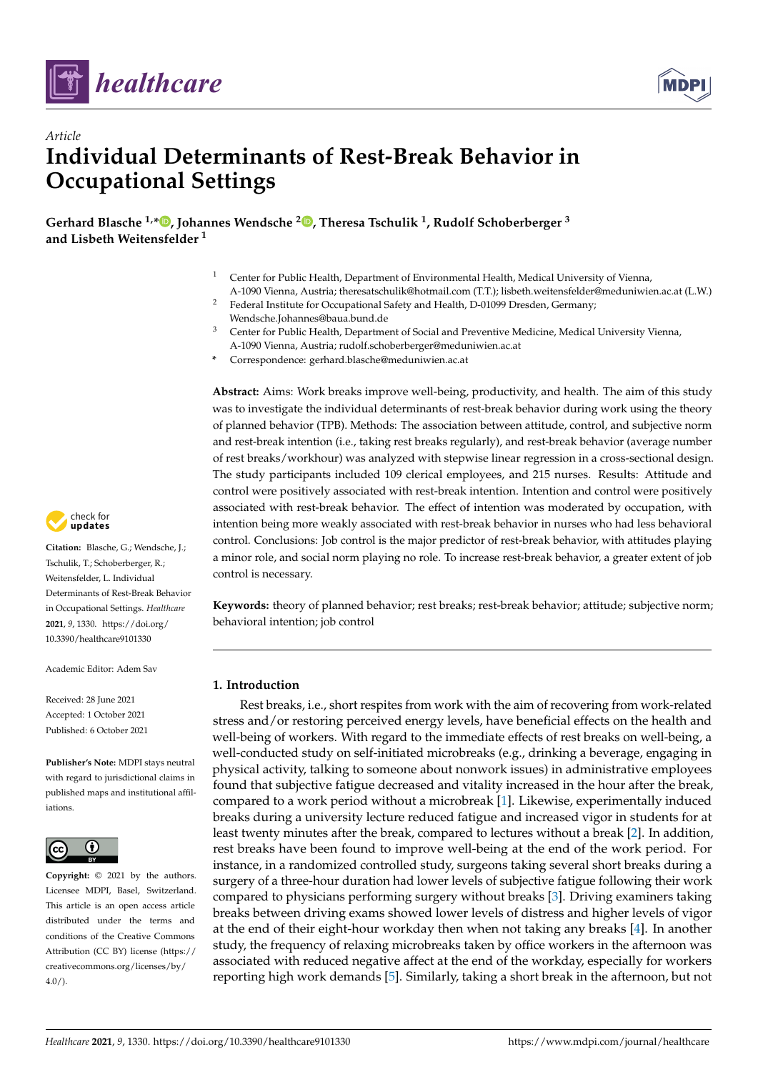



# *Article* **Individual Determinants of Rest-Break Behavior in Occupational Settings**

**Gerhard Blasche 1,[\\*](https://orcid.org/0000-0002-4779-4843) , Johannes Wendsche <sup>2</sup> [,](https://orcid.org/0000-0003-4228-4016) Theresa Tschulik <sup>1</sup> , Rudolf Schoberberger <sup>3</sup> and Lisbeth Weitensfelder <sup>1</sup>**

- <sup>1</sup> Center for Public Health, Department of Environmental Health, Medical University of Vienna,
- A-1090 Vienna, Austria; theresatschulik@hotmail.com (T.T.); lisbeth.weitensfelder@meduniwien.ac.at (L.W.) <sup>2</sup> Federal Institute for Occupational Safety and Health, D-01099 Dresden, Germany;
	- Wendsche.Johannes@baua.bund.de
- <sup>3</sup> Center for Public Health, Department of Social and Preventive Medicine, Medical University Vienna, A-1090 Vienna, Austria; rudolf.schoberberger@meduniwien.ac.at
- **\*** Correspondence: gerhard.blasche@meduniwien.ac.at

**Abstract:** Aims: Work breaks improve well-being, productivity, and health. The aim of this study was to investigate the individual determinants of rest-break behavior during work using the theory of planned behavior (TPB). Methods: The association between attitude, control, and subjective norm and rest-break intention (i.e., taking rest breaks regularly), and rest-break behavior (average number of rest breaks/workhour) was analyzed with stepwise linear regression in a cross-sectional design. The study participants included 109 clerical employees, and 215 nurses. Results: Attitude and control were positively associated with rest-break intention. Intention and control were positively associated with rest-break behavior. The effect of intention was moderated by occupation, with intention being more weakly associated with rest-break behavior in nurses who had less behavioral control. Conclusions: Job control is the major predictor of rest-break behavior, with attitudes playing a minor role, and social norm playing no role. To increase rest-break behavior, a greater extent of job control is necessary.

**Keywords:** theory of planned behavior; rest breaks; rest-break behavior; attitude; subjective norm; behavioral intention; job control

# **1. Introduction**

Rest breaks, i.e., short respites from work with the aim of recovering from work-related stress and/or restoring perceived energy levels, have beneficial effects on the health and well-being of workers. With regard to the immediate effects of rest breaks on well-being, a well-conducted study on self-initiated microbreaks (e.g., drinking a beverage, engaging in physical activity, talking to someone about nonwork issues) in administrative employees found that subjective fatigue decreased and vitality increased in the hour after the break, compared to a work period without a microbreak [\[1\]](#page-9-0). Likewise, experimentally induced breaks during a university lecture reduced fatigue and increased vigor in students for at least twenty minutes after the break, compared to lectures without a break [\[2\]](#page-9-1). In addition, rest breaks have been found to improve well-being at the end of the work period. For instance, in a randomized controlled study, surgeons taking several short breaks during a surgery of a three-hour duration had lower levels of subjective fatigue following their work compared to physicians performing surgery without breaks [\[3\]](#page-9-2). Driving examiners taking breaks between driving exams showed lower levels of distress and higher levels of vigor at the end of their eight-hour workday then when not taking any breaks [\[4\]](#page-9-3). In another study, the frequency of relaxing microbreaks taken by office workers in the afternoon was associated with reduced negative affect at the end of the workday, especially for workers reporting high work demands [\[5\]](#page-9-4). Similarly, taking a short break in the afternoon, but not



**Citation:** Blasche, G.; Wendsche, J.; Tschulik, T.; Schoberberger, R.; Weitensfelder, L. Individual Determinants of Rest-Break Behavior in Occupational Settings. *Healthcare* **2021**, *9*, 1330. [https://doi.org/](https://doi.org/10.3390/healthcare9101330) [10.3390/healthcare9101330](https://doi.org/10.3390/healthcare9101330)

Academic Editor: Adem Sav

Received: 28 June 2021 Accepted: 1 October 2021 Published: 6 October 2021

**Publisher's Note:** MDPI stays neutral with regard to jurisdictional claims in published maps and institutional affiliations.



**Copyright:** © 2021 by the authors. Licensee MDPI, Basel, Switzerland. This article is an open access article distributed under the terms and conditions of the Creative Commons Attribution (CC BY) license (https:/[/](https://creativecommons.org/licenses/by/4.0/) [creativecommons.org/licenses/by/](https://creativecommons.org/licenses/by/4.0/)  $4.0/$ ).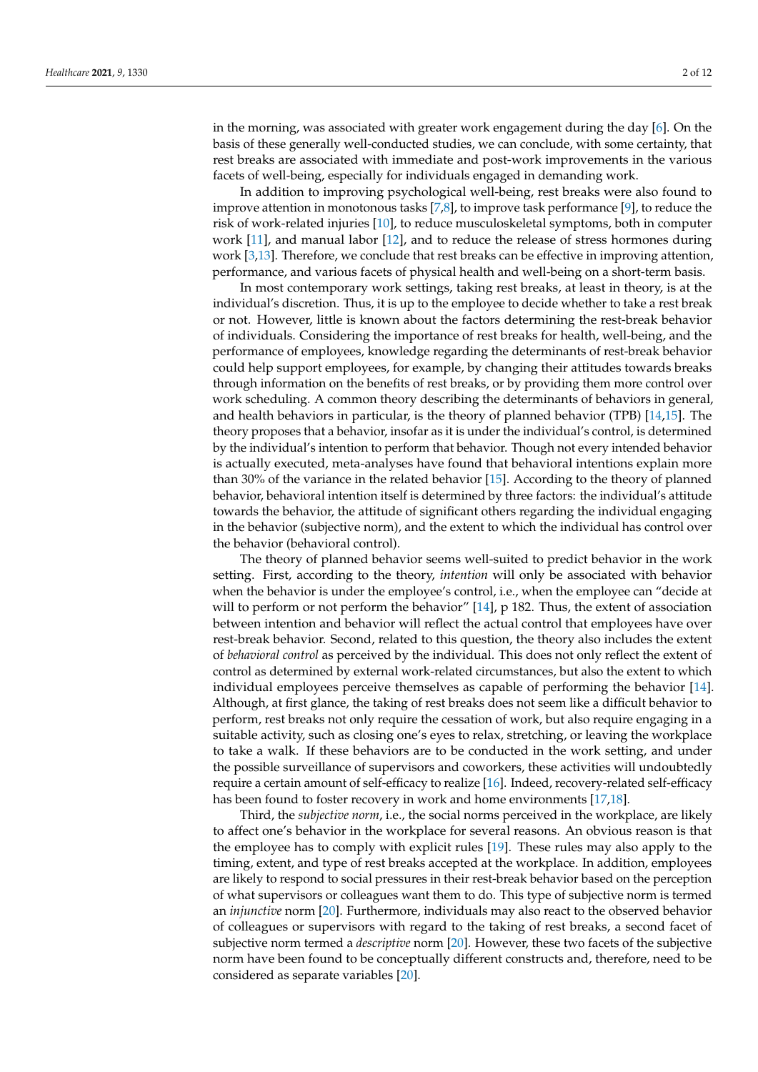in the morning, was associated with greater work engagement during the day [\[6\]](#page-9-5). On the basis of these generally well-conducted studies, we can conclude, with some certainty, that rest breaks are associated with immediate and post-work improvements in the various facets of well-being, especially for individuals engaged in demanding work.

In addition to improving psychological well-being, rest breaks were also found to improve attention in monotonous tasks [\[7,](#page-9-6)[8\]](#page-9-7), to improve task performance [\[9\]](#page-9-8), to reduce the risk of work-related injuries [\[10\]](#page-9-9), to reduce musculoskeletal symptoms, both in computer work [\[11\]](#page-9-10), and manual labor [\[12\]](#page-9-11), and to reduce the release of stress hormones during work [\[3,](#page-9-2)[13\]](#page-10-0). Therefore, we conclude that rest breaks can be effective in improving attention, performance, and various facets of physical health and well-being on a short-term basis.

In most contemporary work settings, taking rest breaks, at least in theory, is at the individual's discretion. Thus, it is up to the employee to decide whether to take a rest break or not. However, little is known about the factors determining the rest-break behavior of individuals. Considering the importance of rest breaks for health, well-being, and the performance of employees, knowledge regarding the determinants of rest-break behavior could help support employees, for example, by changing their attitudes towards breaks through information on the benefits of rest breaks, or by providing them more control over work scheduling. A common theory describing the determinants of behaviors in general, and health behaviors in particular, is the theory of planned behavior (TPB) [\[14](#page-10-1)[,15\]](#page-10-2). The theory proposes that a behavior, insofar as it is under the individual's control, is determined by the individual's intention to perform that behavior. Though not every intended behavior is actually executed, meta-analyses have found that behavioral intentions explain more than 30% of the variance in the related behavior [\[15\]](#page-10-2). According to the theory of planned behavior, behavioral intention itself is determined by three factors: the individual's attitude towards the behavior, the attitude of significant others regarding the individual engaging in the behavior (subjective norm), and the extent to which the individual has control over the behavior (behavioral control).

The theory of planned behavior seems well-suited to predict behavior in the work setting. First, according to the theory, *intention* will only be associated with behavior when the behavior is under the employee's control, i.e., when the employee can "decide at will to perform or not perform the behavior"  $[14]$ , p 182. Thus, the extent of association between intention and behavior will reflect the actual control that employees have over rest-break behavior. Second, related to this question, the theory also includes the extent of *behavioral control* as perceived by the individual. This does not only reflect the extent of control as determined by external work-related circumstances, but also the extent to which individual employees perceive themselves as capable of performing the behavior [\[14\]](#page-10-1). Although, at first glance, the taking of rest breaks does not seem like a difficult behavior to perform, rest breaks not only require the cessation of work, but also require engaging in a suitable activity, such as closing one's eyes to relax, stretching, or leaving the workplace to take a walk. If these behaviors are to be conducted in the work setting, and under the possible surveillance of supervisors and coworkers, these activities will undoubtedly require a certain amount of self-efficacy to realize [\[16\]](#page-10-3). Indeed, recovery-related self-efficacy has been found to foster recovery in work and home environments [\[17](#page-10-4)[,18\]](#page-10-5).

Third, the *subjective norm*, i.e., the social norms perceived in the workplace, are likely to affect one's behavior in the workplace for several reasons. An obvious reason is that the employee has to comply with explicit rules [\[19\]](#page-10-6). These rules may also apply to the timing, extent, and type of rest breaks accepted at the workplace. In addition, employees are likely to respond to social pressures in their rest-break behavior based on the perception of what supervisors or colleagues want them to do. This type of subjective norm is termed an *injunctive* norm [\[20\]](#page-10-7). Furthermore, individuals may also react to the observed behavior of colleagues or supervisors with regard to the taking of rest breaks, a second facet of subjective norm termed a *descriptive* norm [\[20\]](#page-10-7). However, these two facets of the subjective norm have been found to be conceptually different constructs and, therefore, need to be considered as separate variables [\[20\]](#page-10-7).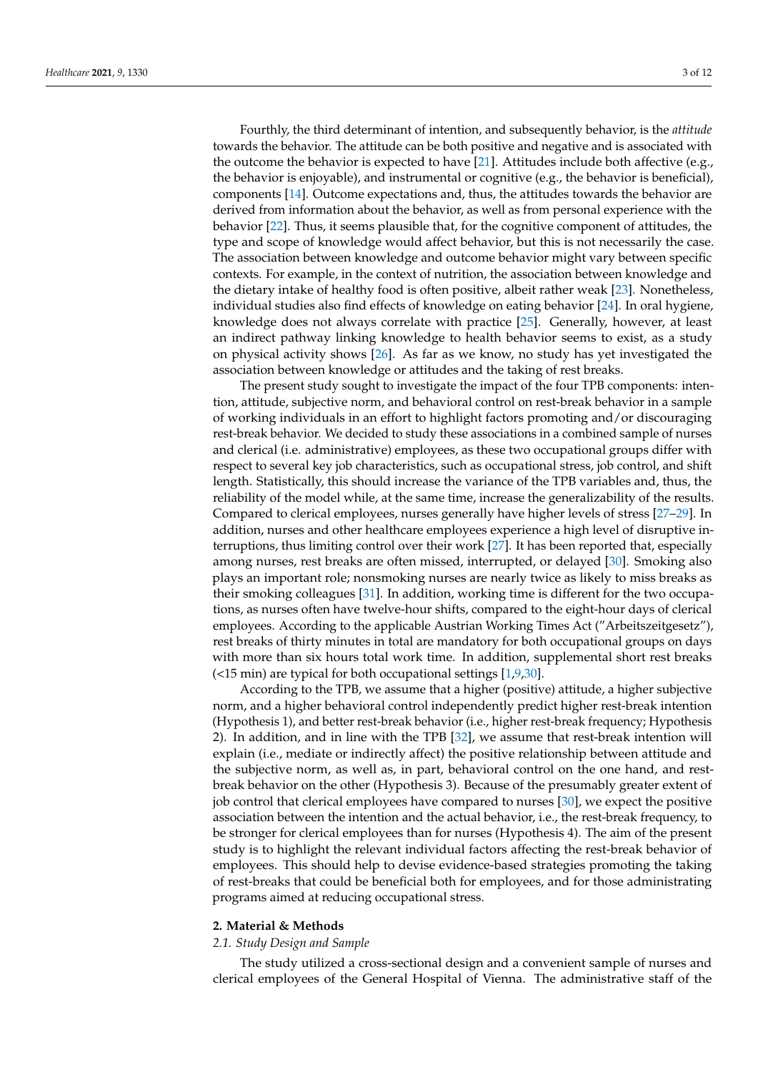Fourthly, the third determinant of intention, and subsequently behavior, is the *attitude* towards the behavior. The attitude can be both positive and negative and is associated with the outcome the behavior is expected to have [\[21\]](#page-10-8). Attitudes include both affective (e.g., the behavior is enjoyable), and instrumental or cognitive (e.g., the behavior is beneficial), components [\[14\]](#page-10-1). Outcome expectations and, thus, the attitudes towards the behavior are derived from information about the behavior, as well as from personal experience with the behavior [\[22\]](#page-10-9). Thus, it seems plausible that, for the cognitive component of attitudes, the type and scope of knowledge would affect behavior, but this is not necessarily the case. The association between knowledge and outcome behavior might vary between specific contexts. For example, in the context of nutrition, the association between knowledge and the dietary intake of healthy food is often positive, albeit rather weak [\[23\]](#page-10-10). Nonetheless, individual studies also find effects of knowledge on eating behavior [\[24\]](#page-10-11). In oral hygiene, knowledge does not always correlate with practice [\[25\]](#page-10-12). Generally, however, at least an indirect pathway linking knowledge to health behavior seems to exist, as a study on physical activity shows [\[26\]](#page-10-13). As far as we know, no study has yet investigated the association between knowledge or attitudes and the taking of rest breaks.

The present study sought to investigate the impact of the four TPB components: intention, attitude, subjective norm, and behavioral control on rest-break behavior in a sample of working individuals in an effort to highlight factors promoting and/or discouraging rest-break behavior. We decided to study these associations in a combined sample of nurses and clerical (i.e. administrative) employees, as these two occupational groups differ with respect to several key job characteristics, such as occupational stress, job control, and shift length. Statistically, this should increase the variance of the TPB variables and, thus, the reliability of the model while, at the same time, increase the generalizability of the results. Compared to clerical employees, nurses generally have higher levels of stress [\[27](#page-10-14)[–29\]](#page-10-15). In addition, nurses and other healthcare employees experience a high level of disruptive interruptions, thus limiting control over their work [\[27\]](#page-10-14). It has been reported that, especially among nurses, rest breaks are often missed, interrupted, or delayed [\[30\]](#page-10-16). Smoking also plays an important role; nonsmoking nurses are nearly twice as likely to miss breaks as their smoking colleagues [\[31\]](#page-10-17). In addition, working time is different for the two occupations, as nurses often have twelve-hour shifts, compared to the eight-hour days of clerical employees. According to the applicable Austrian Working Times Act ("Arbeitszeitgesetz"), rest breaks of thirty minutes in total are mandatory for both occupational groups on days with more than six hours total work time. In addition, supplemental short rest breaks (<15 min) are typical for both occupational settings [\[1](#page-9-0)[,9](#page-9-8)[,30\]](#page-10-16).

According to the TPB, we assume that a higher (positive) attitude, a higher subjective norm, and a higher behavioral control independently predict higher rest-break intention (Hypothesis 1), and better rest-break behavior (i.e., higher rest-break frequency; Hypothesis 2). In addition, and in line with the TPB [\[32\]](#page-10-18), we assume that rest-break intention will explain (i.e., mediate or indirectly affect) the positive relationship between attitude and the subjective norm, as well as, in part, behavioral control on the one hand, and restbreak behavior on the other (Hypothesis 3). Because of the presumably greater extent of job control that clerical employees have compared to nurses [\[30\]](#page-10-16), we expect the positive association between the intention and the actual behavior, i.e., the rest-break frequency, to be stronger for clerical employees than for nurses (Hypothesis 4). The aim of the present study is to highlight the relevant individual factors affecting the rest-break behavior of employees. This should help to devise evidence-based strategies promoting the taking of rest-breaks that could be beneficial both for employees, and for those administrating programs aimed at reducing occupational stress.

### **2. Material & Methods**

#### *2.1. Study Design and Sample*

The study utilized a cross-sectional design and a convenient sample of nurses and clerical employees of the General Hospital of Vienna. The administrative staff of the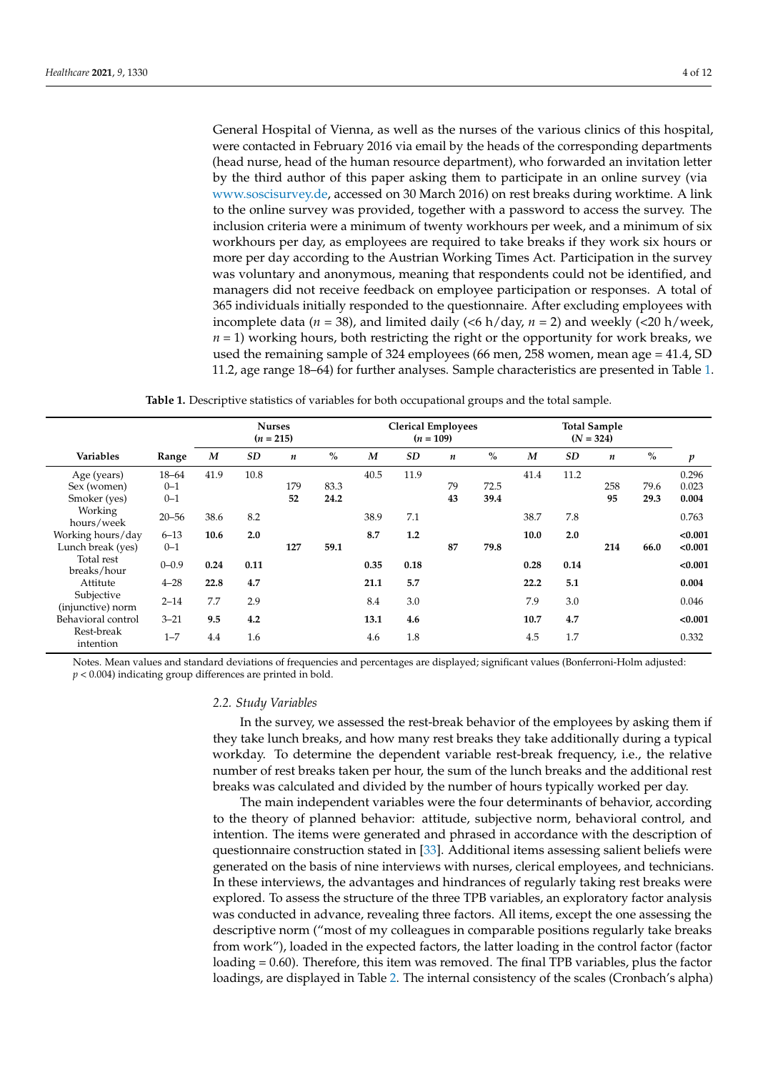General Hospital of Vienna, as well as the nurses of the various clinics of this hospital, were contacted in February 2016 via email by the heads of the corresponding departments (head nurse, head of the human resource department), who forwarded an invitation letter by the third author of this paper asking them to participate in an online survey (via [www.soscisurvey.de,](www.soscisurvey.de) accessed on 30 March 2016) on rest breaks during worktime. A link to the online survey was provided, together with a password to access the survey. The inclusion criteria were a minimum of twenty workhours per week, and a minimum of six workhours per day, as employees are required to take breaks if they work six hours or more per day according to the Austrian Working Times Act. Participation in the survey was voluntary and anonymous, meaning that respondents could not be identified, and managers did not receive feedback on employee participation or responses. A total of 365 individuals initially responded to the questionnaire. After excluding employees with incomplete data ( $n = 38$ ), and limited daily (<6 h/day,  $n = 2$ ) and weekly (<20 h/week, *n* = 1) working hours, both restricting the right or the opportunity for work breaks, we used the remaining sample of 324 employees (66 men, 258 women, mean age = 41.4, SD 11.2, age range 18–64) for further analyses. Sample characteristics are presented in Table [1.](#page-3-0)

**Table 1.** Descriptive statistics of variables for both occupational groups and the total sample.

<span id="page-3-0"></span>

|                                 | <b>Nurses</b><br>$(n = 215)$ |                  |      | <b>Clerical Employees</b><br>$(n = 109)$ |      |      |      | <b>Total Sample</b><br>$(N = 324)$ |      |                  |      |                  |      |                  |
|---------------------------------|------------------------------|------------------|------|------------------------------------------|------|------|------|------------------------------------|------|------------------|------|------------------|------|------------------|
| Variables                       | Range                        | $\boldsymbol{M}$ | SD   | n                                        | $\%$ | M    | SD   | n                                  | $\%$ | $\boldsymbol{M}$ | SD.  | $\boldsymbol{n}$ | $\%$ | $\boldsymbol{p}$ |
| Age (years)                     | $18 - 64$                    | 41.9             | 10.8 |                                          |      | 40.5 | 11.9 |                                    |      | 41.4             | 11.2 |                  |      | 0.296            |
| Sex (women)                     | $0 - 1$                      |                  |      | 179                                      | 83.3 |      |      | 79                                 | 72.5 |                  |      | 258              | 79.6 | 0.023            |
| Smoker (yes)                    | $0 - 1$                      |                  |      | 52                                       | 24.2 |      |      | 43                                 | 39.4 |                  |      | 95               | 29.3 | 0.004            |
| Working<br>hours/week           | $20 - 56$                    | 38.6             | 8.2  |                                          |      | 38.9 | 7.1  |                                    |      | 38.7             | 7.8  |                  |      | 0.763            |
| Working hours/day               | $6 - 13$                     | 10.6             | 2.0  |                                          |      | 8.7  | 1.2  |                                    |      | 10.0             | 2.0  |                  |      | < 0.001          |
| Lunch break (yes)               | $0 - 1$                      |                  |      | 127                                      | 59.1 |      |      | 87                                 | 79.8 |                  |      | 214              | 66.0 | < 0.001          |
| Total rest<br>breaks/hour       | $0 - 0.9$                    | 0.24             | 0.11 |                                          |      | 0.35 | 0.18 |                                    |      | 0.28             | 0.14 |                  |      | < 0.001          |
| Attitute                        | $4 - 28$                     | 22.8             | 4.7  |                                          |      | 21.1 | 5.7  |                                    |      | 22.2             | 5.1  |                  |      | 0.004            |
| Subjective<br>(injunctive) norm | $2 - 14$                     | 7.7              | 2.9  |                                          |      | 8.4  | 3.0  |                                    |      | 7.9              | 3.0  |                  |      | 0.046            |
| Behavioral control              | $3 - 21$                     | 9.5              | 4.2  |                                          |      | 13.1 | 4.6  |                                    |      | 10.7             | 4.7  |                  |      | < 0.001          |
| Rest-break<br>intention         | $1 - 7$                      | 4.4              | 1.6  |                                          |      | 4.6  | 1.8  |                                    |      | 4.5              | 1.7  |                  |      | 0.332            |

Notes. Mean values and standard deviations of frequencies and percentages are displayed; significant values (Bonferroni-Holm adjusted: *p* < 0.004) indicating group differences are printed in bold.

#### *2.2. Study Variables*

In the survey, we assessed the rest-break behavior of the employees by asking them if they take lunch breaks, and how many rest breaks they take additionally during a typical workday. To determine the dependent variable rest-break frequency, i.e., the relative number of rest breaks taken per hour, the sum of the lunch breaks and the additional rest breaks was calculated and divided by the number of hours typically worked per day.

The main independent variables were the four determinants of behavior, according to the theory of planned behavior: attitude, subjective norm, behavioral control, and intention. The items were generated and phrased in accordance with the description of questionnaire construction stated in [\[33\]](#page-10-19). Additional items assessing salient beliefs were generated on the basis of nine interviews with nurses, clerical employees, and technicians. In these interviews, the advantages and hindrances of regularly taking rest breaks were explored. To assess the structure of the three TPB variables, an exploratory factor analysis was conducted in advance, revealing three factors. All items, except the one assessing the descriptive norm ("most of my colleagues in comparable positions regularly take breaks from work"), loaded in the expected factors, the latter loading in the control factor (factor loading = 0.60). Therefore, this item was removed. The final TPB variables, plus the factor loadings, are displayed in Table [2.](#page-4-0) The internal consistency of the scales (Cronbach's alpha)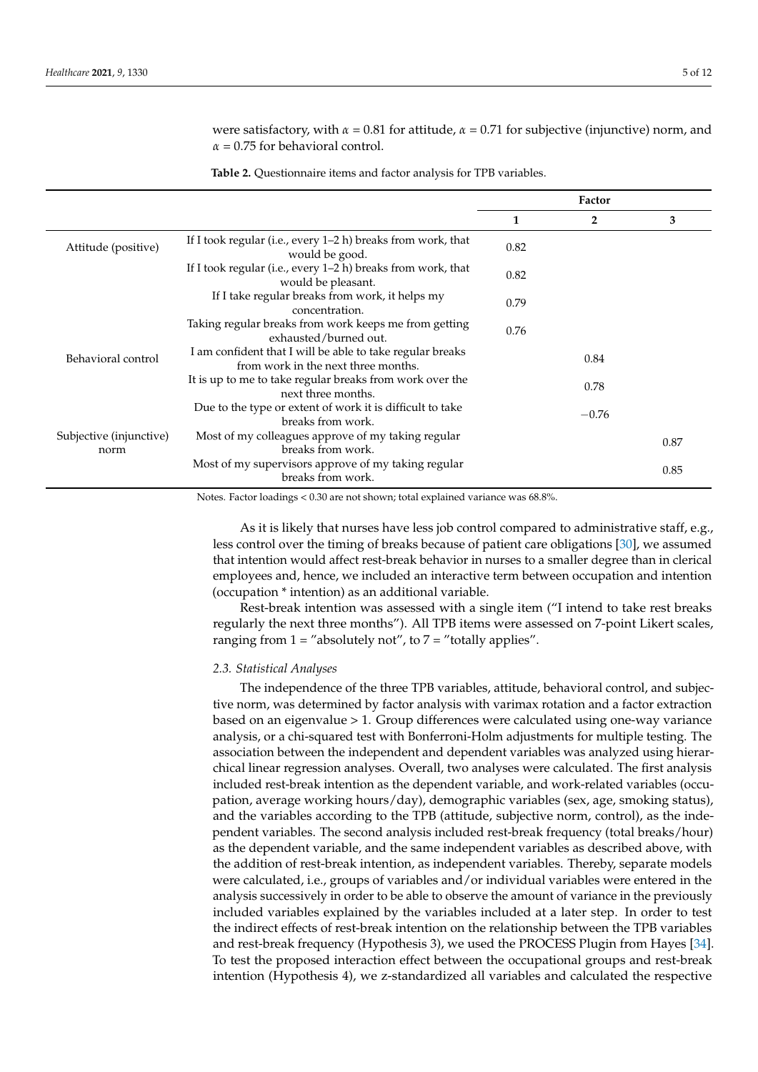were satisfactory, with  $\alpha$  = 0.81 for attitude,  $\alpha$  = 0.71 for subjective (injunctive) norm, and  $\alpha$  = 0.75 for behavioral control.

<span id="page-4-0"></span>

|                         |                                                                                                  | Factor |         |      |  |
|-------------------------|--------------------------------------------------------------------------------------------------|--------|---------|------|--|
|                         |                                                                                                  | 1      | 2       | 3    |  |
| Attitude (positive)     | If I took regular (i.e., every 1–2 h) breaks from work, that<br>would be good.                   | 0.82   |         |      |  |
|                         | If I took regular (i.e., every 1-2 h) breaks from work, that<br>would be pleasant.               | 0.82   |         |      |  |
|                         | If I take regular breaks from work, it helps my<br>concentration.                                | 0.79   |         |      |  |
|                         | Taking regular breaks from work keeps me from getting<br>exhausted/burned out.                   | 0.76   |         |      |  |
| Behavioral control      | I am confident that I will be able to take regular breaks<br>from work in the next three months. |        | 0.84    |      |  |
|                         | It is up to me to take regular breaks from work over the<br>next three months.                   |        | 0.78    |      |  |
|                         | Due to the type or extent of work it is difficult to take<br>breaks from work.                   |        | $-0.76$ |      |  |
| Subjective (injunctive) | Most of my colleagues approve of my taking regular<br>breaks from work.                          |        |         | 0.87 |  |
| norm                    | Most of my supervisors approve of my taking regular<br>breaks from work.                         |        |         | 0.85 |  |

Notes. Factor loadings < 0.30 are not shown; total explained variance was 68.8%.

As it is likely that nurses have less job control compared to administrative staff, e.g., less control over the timing of breaks because of patient care obligations [\[30\]](#page-10-16), we assumed that intention would affect rest-break behavior in nurses to a smaller degree than in clerical employees and, hence, we included an interactive term between occupation and intention (occupation \* intention) as an additional variable.

Rest-break intention was assessed with a single item ("I intend to take rest breaks regularly the next three months"). All TPB items were assessed on 7-point Likert scales, ranging from  $1 =$  "absolutely not", to  $7 =$  "totally applies".

#### *2.3. Statistical Analyses*

The independence of the three TPB variables, attitude, behavioral control, and subjective norm, was determined by factor analysis with varimax rotation and a factor extraction based on an eigenvalue > 1. Group differences were calculated using one-way variance analysis, or a chi-squared test with Bonferroni-Holm adjustments for multiple testing. The association between the independent and dependent variables was analyzed using hierarchical linear regression analyses. Overall, two analyses were calculated. The first analysis included rest-break intention as the dependent variable, and work-related variables (occupation, average working hours/day), demographic variables (sex, age, smoking status), and the variables according to the TPB (attitude, subjective norm, control), as the independent variables. The second analysis included rest-break frequency (total breaks/hour) as the dependent variable, and the same independent variables as described above, with the addition of rest-break intention, as independent variables. Thereby, separate models were calculated, i.e., groups of variables and/or individual variables were entered in the analysis successively in order to be able to observe the amount of variance in the previously included variables explained by the variables included at a later step. In order to test the indirect effects of rest-break intention on the relationship between the TPB variables and rest-break frequency (Hypothesis 3), we used the PROCESS Plugin from Hayes [\[34\]](#page-10-20). To test the proposed interaction effect between the occupational groups and rest-break intention (Hypothesis 4), we z-standardized all variables and calculated the respective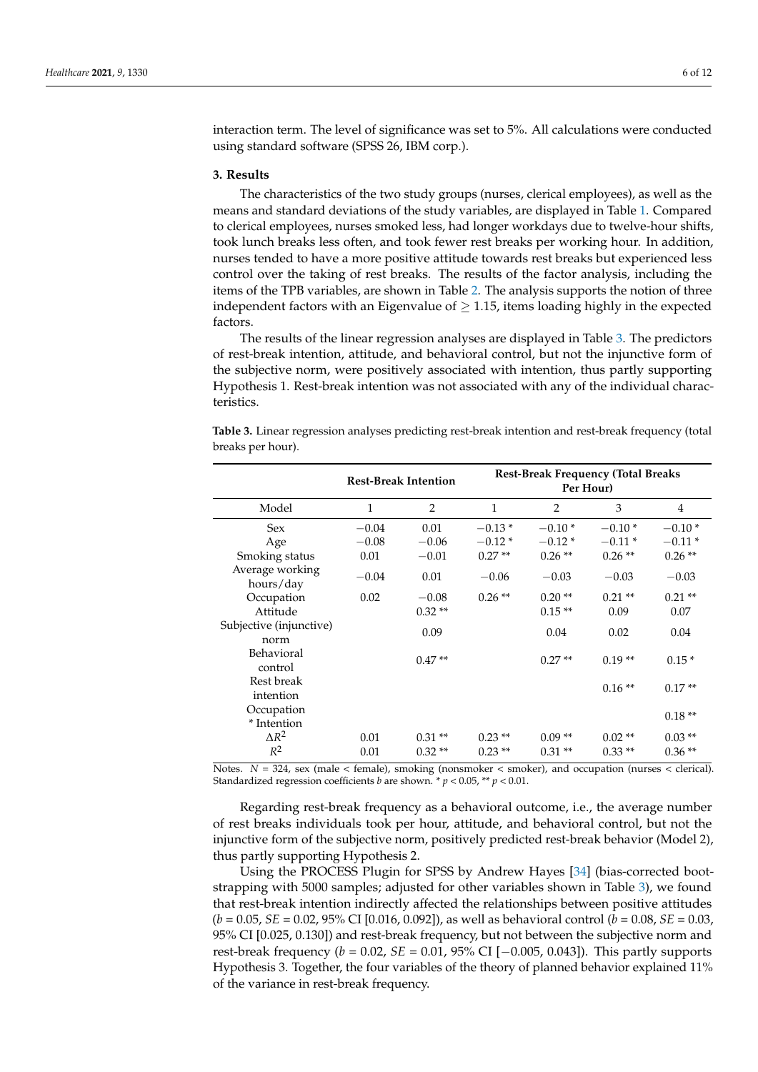interaction term. The level of significance was set to 5%. All calculations were conducted using standard software (SPSS 26, IBM corp.).

#### **3. Results**

The characteristics of the two study groups (nurses, clerical employees), as well as the means and standard deviations of the study variables, are displayed in Table [1.](#page-3-0) Compared to clerical employees, nurses smoked less, had longer workdays due to twelve-hour shifts, took lunch breaks less often, and took fewer rest breaks per working hour. In addition, nurses tended to have a more positive attitude towards rest breaks but experienced less control over the taking of rest breaks. The results of the factor analysis, including the items of the TPB variables, are shown in Table [2.](#page-4-0) The analysis supports the notion of three independent factors with an Eigenvalue of  $\geq 1.15$ , items loading highly in the expected factors.

The results of the linear regression analyses are displayed in Table [3.](#page-5-0) The predictors of rest-break intention, attitude, and behavioral control, but not the injunctive form of the subjective norm, were positively associated with intention, thus partly supporting Hypothesis 1. Rest-break intention was not associated with any of the individual characteristics.

<span id="page-5-0"></span>**Table 3.** Linear regression analyses predicting rest-break intention and rest-break frequency (total breaks per hour).

|                                 |         | <b>Rest-Break Intention</b> | <b>Rest-Break Frequency (Total Breaks</b><br>Per Hour) |                |          |                |  |  |
|---------------------------------|---------|-----------------------------|--------------------------------------------------------|----------------|----------|----------------|--|--|
| Model                           | 1       | 2                           | $\mathbf 1$                                            | $\overline{2}$ | 3        | $\overline{4}$ |  |  |
| Sex                             | $-0.04$ | 0.01                        | $-0.13*$                                               | $-0.10*$       | $-0.10*$ | $-0.10*$       |  |  |
| Age                             | $-0.08$ | $-0.06$                     | $-0.12*$                                               | $-0.12*$       | $-0.11*$ | $-0.11*$       |  |  |
| Smoking status                  | 0.01    | $-0.01$                     | $0.27**$                                               | $0.26**$       | $0.26**$ | $0.26**$       |  |  |
| Average working<br>hours/day    | $-0.04$ | 0.01                        | $-0.06$                                                | $-0.03$        | $-0.03$  | $-0.03$        |  |  |
| Occupation                      | 0.02    | $-0.08$                     | $0.26**$                                               | $0.20**$       | $0.21**$ | $0.21**$       |  |  |
| Attitude                        |         | $0.32**$                    |                                                        | $0.15**$       | 0.09     | 0.07           |  |  |
| Subjective (injunctive)<br>norm |         | 0.09                        |                                                        | 0.04           | 0.02     | 0.04           |  |  |
| Behavioral<br>control           |         | $0.47**$                    |                                                        | $0.27**$       | $0.19**$ | $0.15*$        |  |  |
| Rest break<br>intention         |         |                             |                                                        |                | $0.16**$ | $0.17**$       |  |  |
| Occupation                      |         |                             |                                                        |                |          | $0.18**$       |  |  |
| * Intention                     |         |                             |                                                        |                |          |                |  |  |
| $\Delta R^2$                    | 0.01    | $0.31**$                    | $0.23**$                                               | $0.09**$       | $0.02**$ | $0.03**$       |  |  |
| $R^2$                           | 0.01    | $0.32**$                    | $0.23**$                                               | $0.31**$       | $0.33**$ | $0.36**$       |  |  |

Notes.  $N = 324$ , sex (male < female), smoking (nonsmoker < smoker), and occupation (nurses < clerical). Standardized regression coefficients *b* are shown. \* *p* < 0.05, \*\* *p* < 0.01.

Regarding rest-break frequency as a behavioral outcome, i.e., the average number of rest breaks individuals took per hour, attitude, and behavioral control, but not the injunctive form of the subjective norm, positively predicted rest-break behavior (Model 2), thus partly supporting Hypothesis 2.

Using the PROCESS Plugin for SPSS by Andrew Hayes [\[34\]](#page-10-20) (bias-corrected bootstrapping with 5000 samples; adjusted for other variables shown in Table [3\)](#page-5-0), we found that rest-break intention indirectly affected the relationships between positive attitudes (*b* = 0.05, *SE* = 0.02, 95% CI [0.016, 0.092]), as well as behavioral control (*b* = 0.08, *SE* = 0.03, 95% CI [0.025, 0.130]) and rest-break frequency, but not between the subjective norm and rest-break frequency (*b* = 0.02, *SE* = 0.01, 95% CI [−0.005, 0.043]). This partly supports Hypothesis 3. Together, the four variables of the theory of planned behavior explained 11% of the variance in rest-break frequency.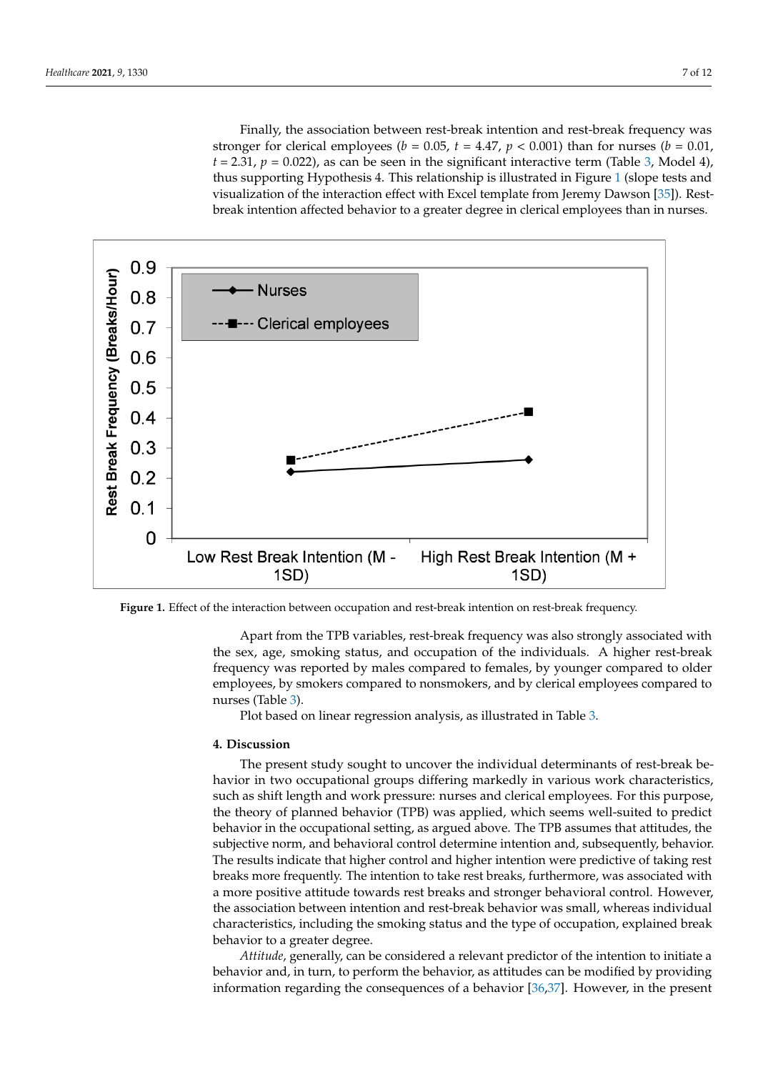Finally, the association between rest-break intention and rest-break frequency was stronger for clerical employees ( $b = 0.05$ ,  $t = 4.47$ ,  $p < 0.001$ ) than for nurses ( $b = 0.01$ ,  $t = 2.31$ ,  $p = 0.022$ ), as can be seen in the significant interactive term (Table [3,](#page-5-0) Model 4), thus supporting Hypothesis 4. This relationship is illustrated in Figure 1 (slope tests and visualization of the interaction effect with Excel template from Jeremy Dawson [\[35\]](#page-10-21)). Restbreak intention affected behavior to a greater degree in clerical employees than in nurses.

<span id="page-6-0"></span>

**Figure 1.** Effect of the interaction between occupation and rest-break intention on rest-break **Figure 1.** Effect of the interaction between occupation and rest-break intention on rest-break frequency.

frequency was reported by males compared to females, by younger compared to older **Table 3. Table 3. Linear regression and rest-break frequency constraints** Apart from the TPB variables, rest-break frequency was also strongly associated with the sex, age, smoking status, and occupation of the individuals. A higher rest-break employees, by smokers compared to nonsmokers, and by clerical employees compared to nurses (Table [3\)](#page-5-0).

Plot based on linear regression analysis, as illustrated in Table [3.](#page-5-0)

#### **Rest-break intention Rest-Break Frequency (Total Breaks Per Hour) 4. Discussion**

Fire present study sought to uncover the individual determinants of rest-break behavior in two occupational groups differing markedly in various work characteristics, such as shift length and work pressure: nurses and clerical employees. For this purpose, the theory of planned behavior (TPB) was applied, which seems well-suited to predict behavior in the occupational setting, as argued above. The TPB assumes that attitudes, the<br>cylinative name and haborianal sentual datamains intention and aubecause the haborian breaks more frequently. The intention to take rest breaks, furthermore, was associated with characteristics, including the smoking status and the type of occupation, explained break behavior to a greater degree. The present study sought to uncover the individual determinants of rest-break besubjective norm, and behavioral control determine intention and, subsequently, behavior. The results indicate that higher control and higher intention were predictive of taking rest a more positive attitude towards rest breaks and stronger behavioral control. However, the association between intention and rest-break behavior was small, whereas individual

> behavior and, in turn, to perform the behavior, as attitudes can be modified by providing<br>information recording the consequences of a heberior [26,27]. Houever, in the present *Attitude*, generally, can be considered a relevant predictor of the intention to initiate a information regarding the consequences of a behavior [\[36](#page-10-22)[,37\]](#page-10-23). However, in the present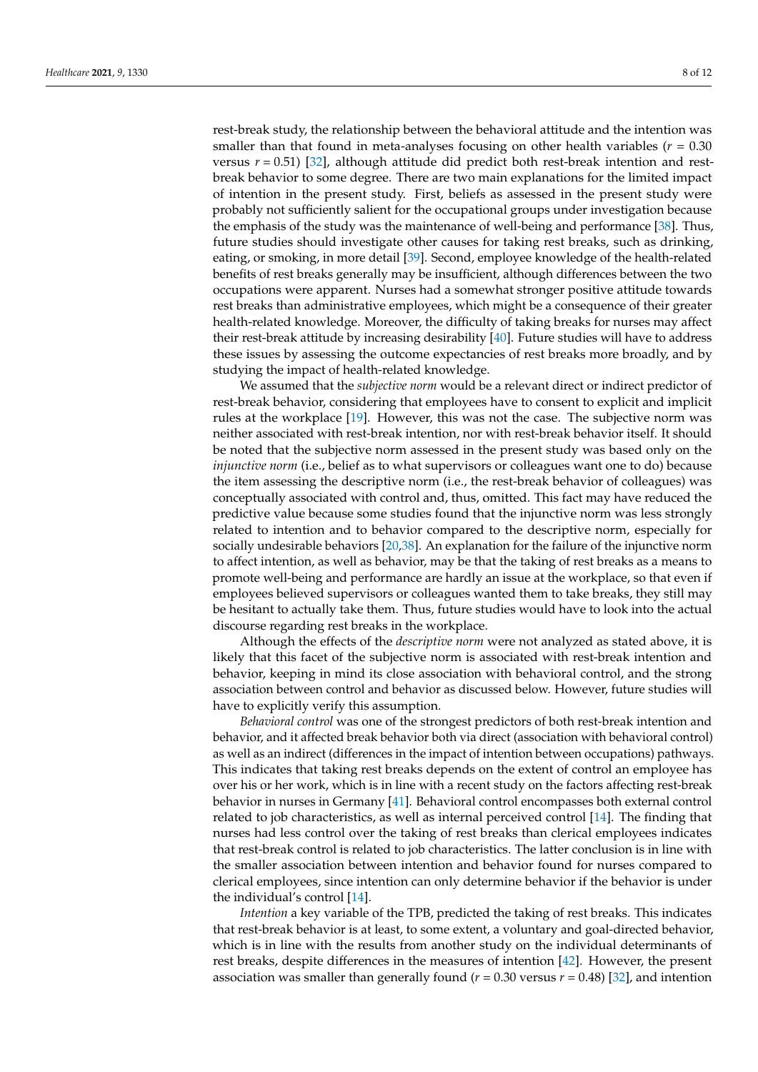rest-break study, the relationship between the behavioral attitude and the intention was smaller than that found in meta-analyses focusing on other health variables  $(r = 0.30)$ versus *r* = 0.51) [\[32\]](#page-10-18), although attitude did predict both rest-break intention and restbreak behavior to some degree. There are two main explanations for the limited impact of intention in the present study. First, beliefs as assessed in the present study were probably not sufficiently salient for the occupational groups under investigation because the emphasis of the study was the maintenance of well-being and performance [\[38\]](#page-10-24). Thus, future studies should investigate other causes for taking rest breaks, such as drinking, eating, or smoking, in more detail [\[39\]](#page-10-25). Second, employee knowledge of the health-related benefits of rest breaks generally may be insufficient, although differences between the two occupations were apparent. Nurses had a somewhat stronger positive attitude towards rest breaks than administrative employees, which might be a consequence of their greater health-related knowledge. Moreover, the difficulty of taking breaks for nurses may affect their rest-break attitude by increasing desirability [\[40\]](#page-10-26). Future studies will have to address these issues by assessing the outcome expectancies of rest breaks more broadly, and by studying the impact of health-related knowledge.

We assumed that the *subjective norm* would be a relevant direct or indirect predictor of rest-break behavior, considering that employees have to consent to explicit and implicit rules at the workplace [\[19\]](#page-10-6). However, this was not the case. The subjective norm was neither associated with rest-break intention, nor with rest-break behavior itself. It should be noted that the subjective norm assessed in the present study was based only on the *injunctive norm* (i.e., belief as to what supervisors or colleagues want one to do) because the item assessing the descriptive norm (i.e., the rest-break behavior of colleagues) was conceptually associated with control and, thus, omitted. This fact may have reduced the predictive value because some studies found that the injunctive norm was less strongly related to intention and to behavior compared to the descriptive norm, especially for socially undesirable behaviors [\[20,](#page-10-7)[38\]](#page-10-24). An explanation for the failure of the injunctive norm to affect intention, as well as behavior, may be that the taking of rest breaks as a means to promote well-being and performance are hardly an issue at the workplace, so that even if employees believed supervisors or colleagues wanted them to take breaks, they still may be hesitant to actually take them. Thus, future studies would have to look into the actual discourse regarding rest breaks in the workplace.

Although the effects of the *descriptive norm* were not analyzed as stated above, it is likely that this facet of the subjective norm is associated with rest-break intention and behavior, keeping in mind its close association with behavioral control, and the strong association between control and behavior as discussed below. However, future studies will have to explicitly verify this assumption.

*Behavioral control* was one of the strongest predictors of both rest-break intention and behavior, and it affected break behavior both via direct (association with behavioral control) as well as an indirect (differences in the impact of intention between occupations) pathways. This indicates that taking rest breaks depends on the extent of control an employee has over his or her work, which is in line with a recent study on the factors affecting rest-break behavior in nurses in Germany [\[41\]](#page-10-27). Behavioral control encompasses both external control related to job characteristics, as well as internal perceived control [\[14\]](#page-10-1). The finding that nurses had less control over the taking of rest breaks than clerical employees indicates that rest-break control is related to job characteristics. The latter conclusion is in line with the smaller association between intention and behavior found for nurses compared to clerical employees, since intention can only determine behavior if the behavior is under the individual's control [\[14\]](#page-10-1).

*Intention* a key variable of the TPB, predicted the taking of rest breaks. This indicates that rest-break behavior is at least, to some extent, a voluntary and goal-directed behavior, which is in line with the results from another study on the individual determinants of rest breaks, despite differences in the measures of intention [\[42\]](#page-10-28). However, the present association was smaller than generally found ( $r = 0.30$  versus  $r = 0.48$ ) [\[32\]](#page-10-18), and intention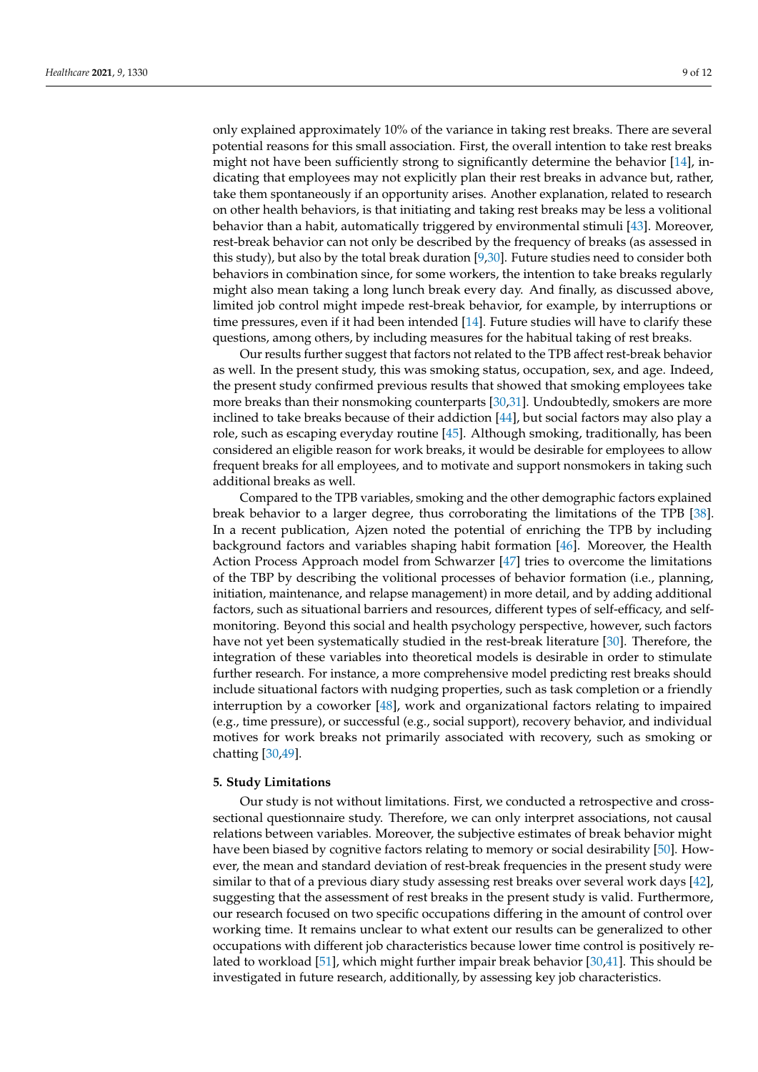only explained approximately 10% of the variance in taking rest breaks. There are several potential reasons for this small association. First, the overall intention to take rest breaks might not have been sufficiently strong to significantly determine the behavior  $[14]$ , indicating that employees may not explicitly plan their rest breaks in advance but, rather, take them spontaneously if an opportunity arises. Another explanation, related to research on other health behaviors, is that initiating and taking rest breaks may be less a volitional behavior than a habit, automatically triggered by environmental stimuli [\[43\]](#page-10-29). Moreover, rest-break behavior can not only be described by the frequency of breaks (as assessed in this study), but also by the total break duration [\[9,](#page-9-8)[30\]](#page-10-16). Future studies need to consider both behaviors in combination since, for some workers, the intention to take breaks regularly might also mean taking a long lunch break every day. And finally, as discussed above, limited job control might impede rest-break behavior, for example, by interruptions or time pressures, even if it had been intended [\[14\]](#page-10-1). Future studies will have to clarify these questions, among others, by including measures for the habitual taking of rest breaks.

Our results further suggest that factors not related to the TPB affect rest-break behavior as well. In the present study, this was smoking status, occupation, sex, and age. Indeed, the present study confirmed previous results that showed that smoking employees take more breaks than their nonsmoking counterparts [\[30,](#page-10-16)[31\]](#page-10-17). Undoubtedly, smokers are more inclined to take breaks because of their addiction [\[44\]](#page-10-30), but social factors may also play a role, such as escaping everyday routine [\[45\]](#page-11-0). Although smoking, traditionally, has been considered an eligible reason for work breaks, it would be desirable for employees to allow frequent breaks for all employees, and to motivate and support nonsmokers in taking such additional breaks as well.

Compared to the TPB variables, smoking and the other demographic factors explained break behavior to a larger degree, thus corroborating the limitations of the TPB [\[38\]](#page-10-24). In a recent publication, Ajzen noted the potential of enriching the TPB by including background factors and variables shaping habit formation [\[46\]](#page-11-1). Moreover, the Health Action Process Approach model from Schwarzer [\[47\]](#page-11-2) tries to overcome the limitations of the TBP by describing the volitional processes of behavior formation (i.e., planning, initiation, maintenance, and relapse management) in more detail, and by adding additional factors, such as situational barriers and resources, different types of self-efficacy, and selfmonitoring. Beyond this social and health psychology perspective, however, such factors have not yet been systematically studied in the rest-break literature [\[30\]](#page-10-16). Therefore, the integration of these variables into theoretical models is desirable in order to stimulate further research. For instance, a more comprehensive model predicting rest breaks should include situational factors with nudging properties, such as task completion or a friendly interruption by a coworker [\[48\]](#page-11-3), work and organizational factors relating to impaired (e.g., time pressure), or successful (e.g., social support), recovery behavior, and individual motives for work breaks not primarily associated with recovery, such as smoking or chatting [\[30](#page-10-16)[,49\]](#page-11-4).

#### **5. Study Limitations**

Our study is not without limitations. First, we conducted a retrospective and crosssectional questionnaire study. Therefore, we can only interpret associations, not causal relations between variables. Moreover, the subjective estimates of break behavior might have been biased by cognitive factors relating to memory or social desirability [\[50\]](#page-11-5). However, the mean and standard deviation of rest-break frequencies in the present study were similar to that of a previous diary study assessing rest breaks over several work days [\[42\]](#page-10-28), suggesting that the assessment of rest breaks in the present study is valid. Furthermore, our research focused on two specific occupations differing in the amount of control over working time. It remains unclear to what extent our results can be generalized to other occupations with different job characteristics because lower time control is positively related to workload [\[51\]](#page-11-6), which might further impair break behavior [\[30,](#page-10-16)[41\]](#page-10-27). This should be investigated in future research, additionally, by assessing key job characteristics.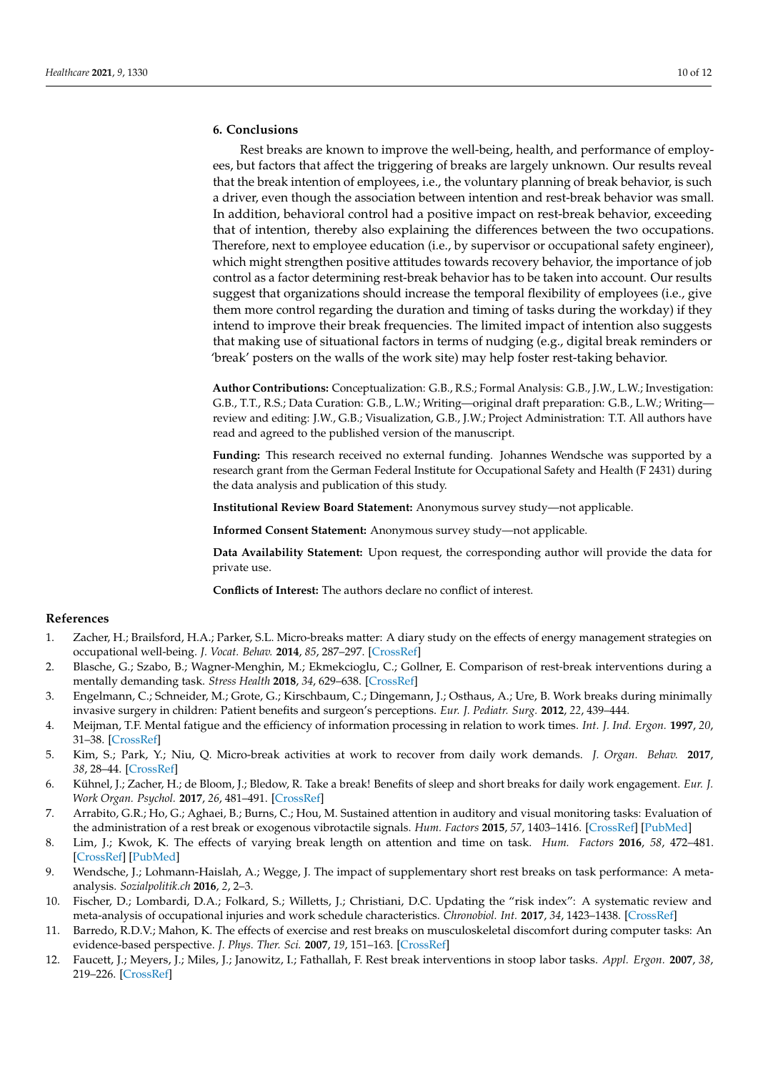# **6. Conclusions**

Rest breaks are known to improve the well-being, health, and performance of employees, but factors that affect the triggering of breaks are largely unknown. Our results reveal that the break intention of employees, i.e., the voluntary planning of break behavior, is such a driver, even though the association between intention and rest-break behavior was small. In addition, behavioral control had a positive impact on rest-break behavior, exceeding that of intention, thereby also explaining the differences between the two occupations. Therefore, next to employee education (i.e., by supervisor or occupational safety engineer), which might strengthen positive attitudes towards recovery behavior, the importance of job control as a factor determining rest-break behavior has to be taken into account. Our results suggest that organizations should increase the temporal flexibility of employees (i.e., give them more control regarding the duration and timing of tasks during the workday) if they intend to improve their break frequencies. The limited impact of intention also suggests that making use of situational factors in terms of nudging (e.g., digital break reminders or 'break' posters on the walls of the work site) may help foster rest-taking behavior.

**Author Contributions:** Conceptualization: G.B., R.S.; Formal Analysis: G.B., J.W., L.W.; Investigation: G.B., T.T., R.S.; Data Curation: G.B., L.W.; Writing—original draft preparation: G.B., L.W.; Writing review and editing: J.W., G.B.; Visualization, G.B., J.W.; Project Administration: T.T. All authors have read and agreed to the published version of the manuscript.

**Funding:** This research received no external funding. Johannes Wendsche was supported by a research grant from the German Federal Institute for Occupational Safety and Health (F 2431) during the data analysis and publication of this study.

**Institutional Review Board Statement:** Anonymous survey study—not applicable.

**Informed Consent Statement:** Anonymous survey study—not applicable.

**Data Availability Statement:** Upon request, the corresponding author will provide the data for private use.

**Conflicts of Interest:** The authors declare no conflict of interest.

### **References**

- <span id="page-9-0"></span>1. Zacher, H.; Brailsford, H.A.; Parker, S.L. Micro-breaks matter: A diary study on the effects of energy management strategies on occupational well-being. *J. Vocat. Behav.* **2014**, *85*, 287–297. [\[CrossRef\]](http://doi.org/10.1016/j.jvb.2014.08.005)
- <span id="page-9-1"></span>2. Blasche, G.; Szabo, B.; Wagner-Menghin, M.; Ekmekcioglu, C.; Gollner, E. Comparison of rest-break interventions during a mentally demanding task. *Stress Health* **2018**, *34*, 629–638. [\[CrossRef\]](http://doi.org/10.1002/smi.2830)
- <span id="page-9-2"></span>3. Engelmann, C.; Schneider, M.; Grote, G.; Kirschbaum, C.; Dingemann, J.; Osthaus, A.; Ure, B. Work breaks during minimally invasive surgery in children: Patient benefits and surgeon's perceptions. *Eur. J. Pediatr. Surg.* **2012**, *22*, 439–444.
- <span id="page-9-3"></span>4. Meijman, T.F. Mental fatigue and the efficiency of information processing in relation to work times. *Int. J. Ind. Ergon.* **1997**, *20*, 31–38. [\[CrossRef\]](http://doi.org/10.1016/S0169-8141(96)00029-7)
- <span id="page-9-4"></span>5. Kim, S.; Park, Y.; Niu, Q. Micro-break activities at work to recover from daily work demands. *J. Organ. Behav.* **2017**, *38*, 28–44. [\[CrossRef\]](http://doi.org/10.1002/job.2109)
- <span id="page-9-5"></span>6. Kühnel, J.; Zacher, H.; de Bloom, J.; Bledow, R. Take a break! Benefits of sleep and short breaks for daily work engagement. *Eur. J. Work Organ. Psychol.* **2017**, *26*, 481–491. [\[CrossRef\]](http://doi.org/10.1080/1359432X.2016.1269750)
- <span id="page-9-6"></span>7. Arrabito, G.R.; Ho, G.; Aghaei, B.; Burns, C.; Hou, M. Sustained attention in auditory and visual monitoring tasks: Evaluation of the administration of a rest break or exogenous vibrotactile signals. *Hum. Factors* **2015**, *57*, 1403–1416. [\[CrossRef\]](http://doi.org/10.1177/0018720815598433) [\[PubMed\]](http://www.ncbi.nlm.nih.gov/pubmed/26276365)
- <span id="page-9-7"></span>8. Lim, J.; Kwok, K. The effects of varying break length on attention and time on task. *Hum. Factors* **2016**, *58*, 472–481. [\[CrossRef\]](http://doi.org/10.1177/0018720815617395) [\[PubMed\]](http://www.ncbi.nlm.nih.gov/pubmed/26715686)
- <span id="page-9-8"></span>9. Wendsche, J.; Lohmann-Haislah, A.; Wegge, J. The impact of supplementary short rest breaks on task performance: A metaanalysis. *Sozialpolitik.ch* **2016**, *2*, 2–3.
- <span id="page-9-9"></span>10. Fischer, D.; Lombardi, D.A.; Folkard, S.; Willetts, J.; Christiani, D.C. Updating the "risk index": A systematic review and meta-analysis of occupational injuries and work schedule characteristics. *Chronobiol. Int.* **2017**, *34*, 1423–1438. [\[CrossRef\]](http://doi.org/10.1080/07420528.2017.1367305)
- <span id="page-9-10"></span>11. Barredo, R.D.V.; Mahon, K. The effects of exercise and rest breaks on musculoskeletal discomfort during computer tasks: An evidence-based perspective. *J. Phys. Ther. Sci.* **2007**, *19*, 151–163. [\[CrossRef\]](http://doi.org/10.1589/jpts.19.151)
- <span id="page-9-11"></span>12. Faucett, J.; Meyers, J.; Miles, J.; Janowitz, I.; Fathallah, F. Rest break interventions in stoop labor tasks. *Appl. Ergon.* **2007**, *38*, 219–226. [\[CrossRef\]](http://doi.org/10.1016/j.apergo.2006.02.003)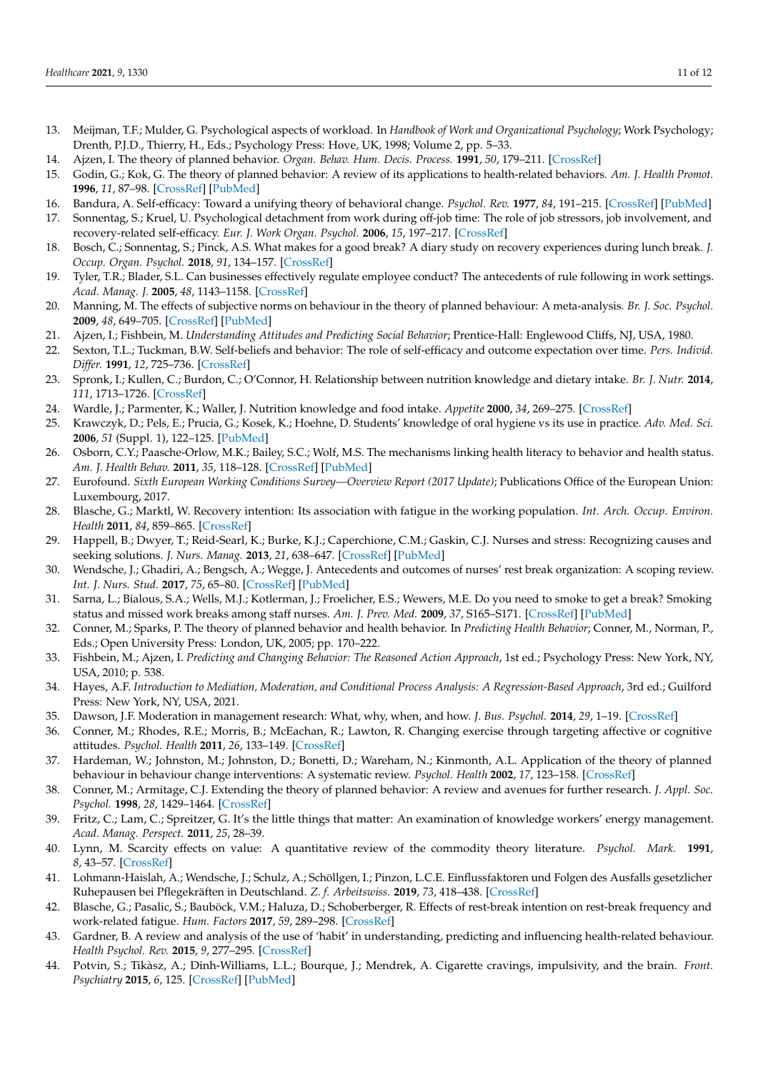- <span id="page-10-0"></span>13. Meijman, T.F.; Mulder, G. Psychological aspects of workload. In *Handbook of Work and Organizational Psychology*; Work Psychology; Drenth, P.J.D., Thierry, H., Eds.; Psychology Press: Hove, UK, 1998; Volume 2, pp. 5–33.
- <span id="page-10-1"></span>14. Ajzen, I. The theory of planned behavior. *Organ. Behav. Hum. Decis. Process.* **1991**, *50*, 179–211. [\[CrossRef\]](http://doi.org/10.1016/0749-5978(91)90020-T)
- <span id="page-10-2"></span>15. Godin, G.; Kok, G. The theory of planned behavior: A review of its applications to health-related behaviors. *Am. J. Health Promot.* **1996**, *11*, 87–98. [\[CrossRef\]](http://doi.org/10.4278/0890-1171-11.2.87) [\[PubMed\]](http://www.ncbi.nlm.nih.gov/pubmed/10163601)
- <span id="page-10-3"></span>16. Bandura, A. Self-efficacy: Toward a unifying theory of behavioral change. *Psychol. Rev.* **1977**, *84*, 191–215. [\[CrossRef\]](http://doi.org/10.1037/0033-295X.84.2.191) [\[PubMed\]](http://www.ncbi.nlm.nih.gov/pubmed/847061)
- <span id="page-10-4"></span>17. Sonnentag, S.; Kruel, U. Psychological detachment from work during off-job time: The role of job stressors, job involvement, and recovery-related self-efficacy. *Eur. J. Work Organ. Psychol.* **2006**, *15*, 197–217. [\[CrossRef\]](http://doi.org/10.1080/13594320500513939)
- <span id="page-10-5"></span>18. Bosch, C.; Sonnentag, S.; Pinck, A.S. What makes for a good break? A diary study on recovery experiences during lunch break. *J. Occup. Organ. Psychol.* **2018**, *91*, 134–157. [\[CrossRef\]](http://doi.org/10.1111/joop.12195)
- <span id="page-10-6"></span>19. Tyler, T.R.; Blader, S.L. Can businesses effectively regulate employee conduct? The antecedents of rule following in work settings. *Acad. Manag. J.* **2005**, *48*, 1143–1158. [\[CrossRef\]](http://doi.org/10.5465/amj.2005.19573114)
- <span id="page-10-7"></span>20. Manning, M. The effects of subjective norms on behaviour in the theory of planned behaviour: A meta-analysis. *Br. J. Soc. Psychol.* **2009**, *48*, 649–705. [\[CrossRef\]](http://doi.org/10.1348/014466608X393136) [\[PubMed\]](http://www.ncbi.nlm.nih.gov/pubmed/19187572)
- <span id="page-10-8"></span>21. Ajzen, I.; Fishbein, M. *Understanding Attitudes and Predicting Social Behavior*; Prentice-Hall: Englewood Cliffs, NJ, USA, 1980.
- <span id="page-10-9"></span>22. Sexton, T.L.; Tuckman, B.W. Self-beliefs and behavior: The role of self-efficacy and outcome expectation over time. *Pers. Individ. Differ.* **1991**, *12*, 725–736. [\[CrossRef\]](http://doi.org/10.1016/0191-8869(91)90228-4)
- <span id="page-10-10"></span>23. Spronk, I.; Kullen, C.; Burdon, C.; O'Connor, H. Relationship between nutrition knowledge and dietary intake. *Br. J. Nutr.* **2014**, *111*, 1713–1726. [\[CrossRef\]](http://doi.org/10.1017/S0007114514000087)
- <span id="page-10-11"></span>24. Wardle, J.; Parmenter, K.; Waller, J. Nutrition knowledge and food intake. *Appetite* **2000**, *34*, 269–275. [\[CrossRef\]](http://doi.org/10.1006/appe.1999.0311)
- <span id="page-10-12"></span>25. Krawczyk, D.; Pels, E.; Prucia, G.; Kosek, K.; Hoehne, D. Students' knowledge of oral hygiene vs its use in practice. *Adv. Med. Sci.* **2006**, *51* (Suppl. 1), 122–125. [\[PubMed\]](http://www.ncbi.nlm.nih.gov/pubmed/17458074)
- <span id="page-10-13"></span>26. Osborn, C.Y.; Paasche-Orlow, M.K.; Bailey, S.C.; Wolf, M.S. The mechanisms linking health literacy to behavior and health status. *Am. J. Health Behav.* **2011**, *35*, 118–128. [\[CrossRef\]](http://doi.org/10.5993/AJHB.35.1.11) [\[PubMed\]](http://www.ncbi.nlm.nih.gov/pubmed/20950164)
- <span id="page-10-14"></span>27. Eurofound. *Sixth European Working Conditions Survey—Overview Report (2017 Update)*; Publications Office of the European Union: Luxembourg, 2017.
- 28. Blasche, G.; Marktl, W. Recovery intention: Its association with fatigue in the working population. *Int. Arch. Occup. Environ. Health* **2011**, *84*, 859–865. [\[CrossRef\]](http://doi.org/10.1007/s00420-011-0651-6)
- <span id="page-10-15"></span>29. Happell, B.; Dwyer, T.; Reid-Searl, K.; Burke, K.J.; Caperchione, C.M.; Gaskin, C.J. Nurses and stress: Recognizing causes and seeking solutions. *J. Nurs. Manag.* **2013**, *21*, 638–647. [\[CrossRef\]](http://doi.org/10.1111/jonm.12037) [\[PubMed\]](http://www.ncbi.nlm.nih.gov/pubmed/23700980)
- <span id="page-10-16"></span>30. Wendsche, J.; Ghadiri, A.; Bengsch, A.; Wegge, J. Antecedents and outcomes of nurses' rest break organization: A scoping review. *Int. J. Nurs. Stud.* **2017**, *75*, 65–80. [\[CrossRef\]](http://doi.org/10.1016/j.ijnurstu.2017.07.005) [\[PubMed\]](http://www.ncbi.nlm.nih.gov/pubmed/28750245)
- <span id="page-10-17"></span>31. Sarna, L.; Bialous, S.A.; Wells, M.J.; Kotlerman, J.; Froelicher, E.S.; Wewers, M.E. Do you need to smoke to get a break? Smoking status and missed work breaks among staff nurses. *Am. J. Prev. Med.* **2009**, *37*, S165–S171. [\[CrossRef\]](http://doi.org/10.1016/j.amepre.2009.05.005) [\[PubMed\]](http://www.ncbi.nlm.nih.gov/pubmed/19591757)
- <span id="page-10-18"></span>32. Conner, M.; Sparks, P. The theory of planned behavior and health behavior. In *Predicting Health Behavior*; Conner, M., Norman, P., Eds.; Open University Press: London, UK, 2005; pp. 170–222.
- <span id="page-10-19"></span>33. Fishbein, M.; Ajzen, I. *Predicting and Changing Behavior: The Reasoned Action Approach*, 1st ed.; Psychology Press: New York, NY, USA, 2010; p. 538.
- <span id="page-10-20"></span>34. Hayes, A.F. *Introduction to Mediation, Moderation, and Conditional Process Analysis: A Regression-Based Approach*, 3rd ed.; Guilford Press: New York, NY, USA, 2021.
- <span id="page-10-21"></span>35. Dawson, J.F. Moderation in management research: What, why, when, and how. *J. Bus. Psychol.* **2014**, *29*, 1–19. [\[CrossRef\]](http://doi.org/10.1007/s10869-013-9308-7)
- <span id="page-10-22"></span>36. Conner, M.; Rhodes, R.E.; Morris, B.; McEachan, R.; Lawton, R. Changing exercise through targeting affective or cognitive attitudes. *Psychol. Health* **2011**, *26*, 133–149. [\[CrossRef\]](http://doi.org/10.1080/08870446.2011.531570)
- <span id="page-10-23"></span>37. Hardeman, W.; Johnston, M.; Johnston, D.; Bonetti, D.; Wareham, N.; Kinmonth, A.L. Application of the theory of planned behaviour in behaviour change interventions: A systematic review. *Psychol. Health* **2002**, *17*, 123–158. [\[CrossRef\]](http://doi.org/10.1080/08870440290013644a)
- <span id="page-10-24"></span>38. Conner, M.; Armitage, C.J. Extending the theory of planned behavior: A review and avenues for further research. *J. Appl. Soc. Psychol.* **1998**, *28*, 1429–1464. [\[CrossRef\]](http://doi.org/10.1111/j.1559-1816.1998.tb01685.x)
- <span id="page-10-25"></span>39. Fritz, C.; Lam, C.; Spreitzer, G. It's the little things that matter: An examination of knowledge workers' energy management. *Acad. Manag. Perspect.* **2011**, *25*, 28–39.
- <span id="page-10-26"></span>40. Lynn, M. Scarcity effects on value: A quantitative review of the commodity theory literature. *Psychol. Mark.* **1991**, *8*, 43–57. [\[CrossRef\]](http://doi.org/10.1002/mar.4220080105)
- <span id="page-10-27"></span>41. Lohmann-Haislah, A.; Wendsche, J.; Schulz, A.; Schöllgen, I.; Pinzon, L.C.E. Einflussfaktoren und Folgen des Ausfalls gesetzlicher Ruhepausen bei Pflegekräften in Deutschland. *Z. f. Arbeitswiss.* **2019**, *73*, 418–438. [\[CrossRef\]](http://doi.org/10.1007/s41449-019-00173-y)
- <span id="page-10-28"></span>42. Blasche, G.; Pasalic, S.; Bauböck, V.M.; Haluza, D.; Schoberberger, R. Effects of rest-break intention on rest-break frequency and work-related fatigue. *Hum. Factors* **2017**, *59*, 289–298. [\[CrossRef\]](http://doi.org/10.1177/0018720816671605)
- <span id="page-10-29"></span>43. Gardner, B. A review and analysis of the use of 'habit' in understanding, predicting and influencing health-related behaviour. *Health Psychol. Rev.* **2015**, *9*, 277–295. [\[CrossRef\]](http://doi.org/10.1080/17437199.2013.876238)
- <span id="page-10-30"></span>44. Potvin, S.; Tikàsz, A.; Dinh-Williams, L.L.; Bourque, J.; Mendrek, A. Cigarette cravings, impulsivity, and the brain. *Front. Psychiatry* **2015**, *6*, 125. [\[CrossRef\]](http://doi.org/10.3389/fpsyt.2015.00125) [\[PubMed\]](http://www.ncbi.nlm.nih.gov/pubmed/26441686)